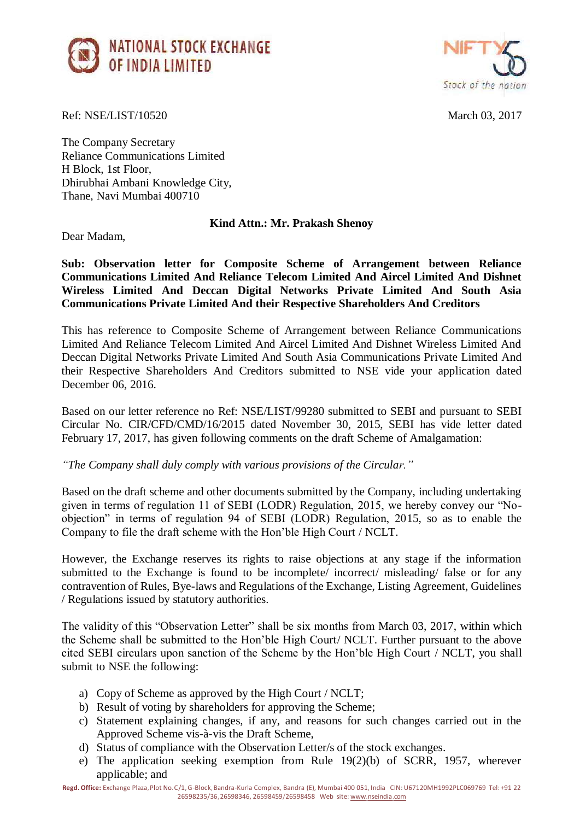



Ref: NSE/LIST/10520 March 03, 2017

The Company Secretary Reliance Communications Limited H Block, 1st Floor, Dhirubhai Ambani Knowledge City, Thane, Navi Mumbai 400710

## **Kind Attn.: Mr. Prakash Shenoy**

Dear Madam,

**Sub: Observation letter for Composite Scheme of Arrangement between Reliance Communications Limited And Reliance Telecom Limited And Aircel Limited And Dishnet Wireless Limited And Deccan Digital Networks Private Limited And South Asia Communications Private Limited And their Respective Shareholders And Creditors**

This has reference to Composite Scheme of Arrangement between Reliance Communications Limited And Reliance Telecom Limited And Aircel Limited And Dishnet Wireless Limited And Deccan Digital Networks Private Limited And South Asia Communications Private Limited And their Respective Shareholders And Creditors submitted to NSE vide your application dated December 06, 2016.

Based on our letter reference no Ref: NSE/LIST/99280 submitted to SEBI and pursuant to SEBI Circular No. CIR/CFD/CMD/16/2015 dated November 30, 2015, SEBI has vide letter dated February 17, 2017, has given following comments on the draft Scheme of Amalgamation:

*"The Company shall duly comply with various provisions of the Circular."* 

Based on the draft scheme and other documents submitted by the Company, including undertaking given in terms of regulation 11 of SEBI (LODR) Regulation, 2015, we hereby convey our "Noobjection" in terms of regulation 94 of SEBI (LODR) Regulation, 2015, so as to enable the Company to file the draft scheme with the Hon'ble High Court / NCLT.

However, the Exchange reserves its rights to raise objections at any stage if the information submitted to the Exchange is found to be incomplete/ incorrect/ misleading/ false or for any contravention of Rules, Bye-laws and Regulations of the Exchange, Listing Agreement, Guidelines / Regulations issued by statutory authorities.

The validity of this "Observation Letter" shall be six months from March 03, 2017, within which the Scheme shall be submitted to the Hon'ble High Court/ NCLT. Further pursuant to the above cited SEBI circulars upon sanction of the Scheme by the Hon'ble High Court / NCLT, you shall submit to NSE the following:

- a) Copy of Scheme as approved by the High Court / NCLT;
- b) Result of voting by shareholders for approving the Scheme;
- c) Statement explaining changes, if any, and reasons for such changes carried out in the Approved Scheme vis-à-vis the Draft Scheme,
- d) Status of compliance with the Observation Letter/s of the stock exchanges.
- e) The application seeking exemption from Rule 19(2)(b) of SCRR, 1957, wherever applicable; and